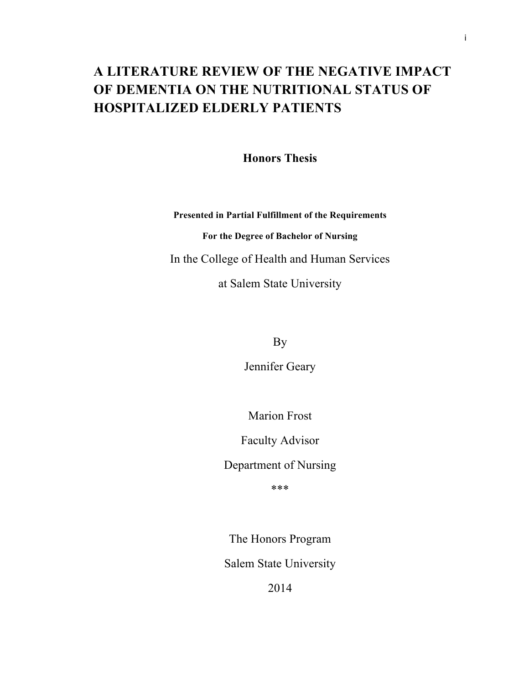# **A LITERATURE REVIEW OF THE NEGATIVE IMPACT OF DEMENTIA ON THE NUTRITIONAL STATUS OF HOSPITALIZED ELDERLY PATIENTS**

**Honors Thesis**

**Presented in Partial Fulfillment of the Requirements For the Degree of Bachelor of Nursing** In the College of Health and Human Services at Salem State University

By

Jennifer Geary

Marion Frost

Faculty Advisor

Department of Nursing

\*\*\*

The Honors Program Salem State University

2014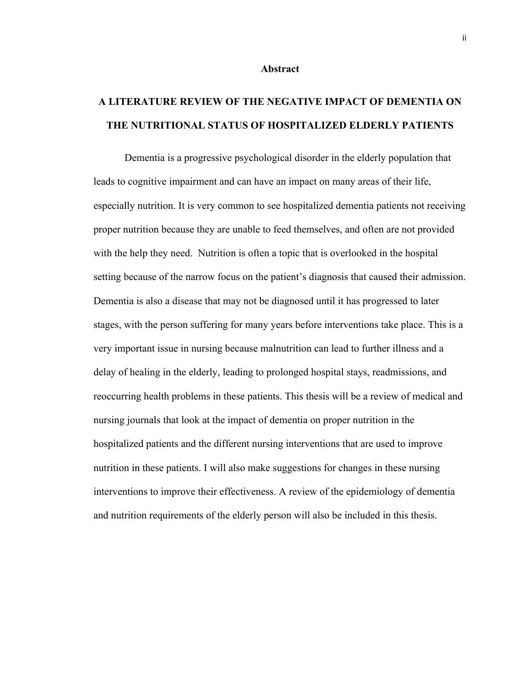#### **Abstract**

# **A LITERATURE REVIEW OF THE NEGATIVE IMPACT OF DEMENTIA ON THE NUTRITIONAL STATUS OF HOSPITALIZED ELDERLY PATIENTS**

Dementia is a progressive psychological disorder in the elderly population that leads to cognitive impairment and can have an impact on many areas of their life, especially nutrition. It is very common to see hospitalized dementia patients not receiving proper nutrition because they are unable to feed themselves, and often are not provided with the help they need. Nutrition is often a topic that is overlooked in the hospital setting because of the narrow focus on the patient's diagnosis that caused their admission. Dementia is also a disease that may not be diagnosed until it has progressed to later stages, with the person suffering for many years before interventions take place. This is a very important issue in nursing because malnutrition can lead to further illness and a delay of healing in the elderly, leading to prolonged hospital stays, readmissions, and reoccurring health problems in these patients. This thesis will be a review of medical and nursing journals that look at the impact of dementia on proper nutrition in the hospitalized patients and the different nursing interventions that are used to improve nutrition in these patients. I will also make suggestions for changes in these nursing interventions to improve their effectiveness. A review of the epidemiology of dementia and nutrition requirements of the elderly person will also be included in this thesis.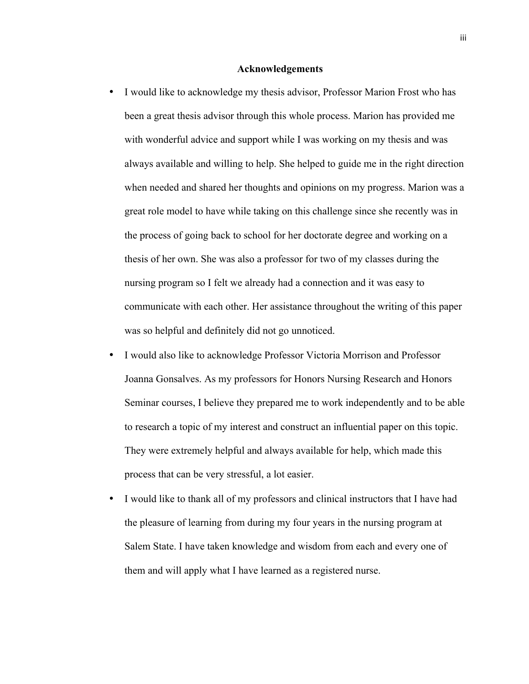# **Acknowledgements**

- I would like to acknowledge my thesis advisor, Professor Marion Frost who has been a great thesis advisor through this whole process. Marion has provided me with wonderful advice and support while I was working on my thesis and was always available and willing to help. She helped to guide me in the right direction when needed and shared her thoughts and opinions on my progress. Marion was a great role model to have while taking on this challenge since she recently was in the process of going back to school for her doctorate degree and working on a thesis of her own. She was also a professor for two of my classes during the nursing program so I felt we already had a connection and it was easy to communicate with each other. Her assistance throughout the writing of this paper was so helpful and definitely did not go unnoticed.
- I would also like to acknowledge Professor Victoria Morrison and Professor Joanna Gonsalves. As my professors for Honors Nursing Research and Honors Seminar courses, I believe they prepared me to work independently and to be able to research a topic of my interest and construct an influential paper on this topic. They were extremely helpful and always available for help, which made this process that can be very stressful, a lot easier.
- I would like to thank all of my professors and clinical instructors that I have had the pleasure of learning from during my four years in the nursing program at Salem State. I have taken knowledge and wisdom from each and every one of them and will apply what I have learned as a registered nurse.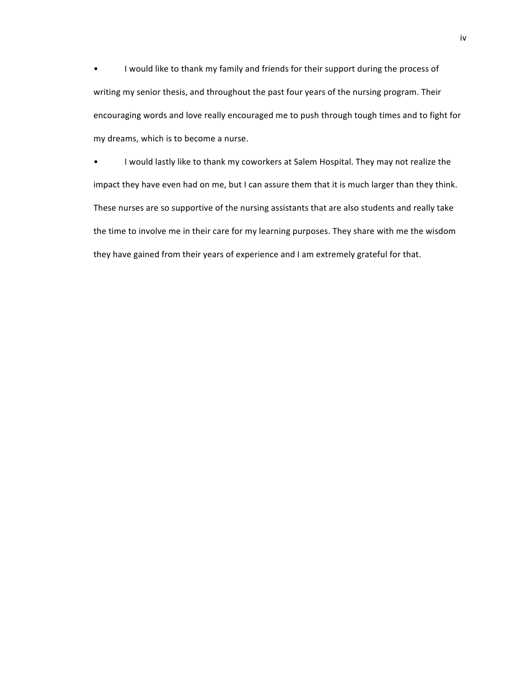• I would like to thank my family and friends for their support during the process of writing my senior thesis, and throughout the past four years of the nursing program. Their encouraging words and love really encouraged me to push through tough times and to fight for my dreams, which is to become a nurse.

• I would lastly like to thank my coworkers at Salem Hospital. They may not realize the impact they have even had on me, but I can assure them that it is much larger than they think. These nurses are so supportive of the nursing assistants that are also students and really take the time to involve me in their care for my learning purposes. They share with me the wisdom they have gained from their years of experience and I am extremely grateful for that.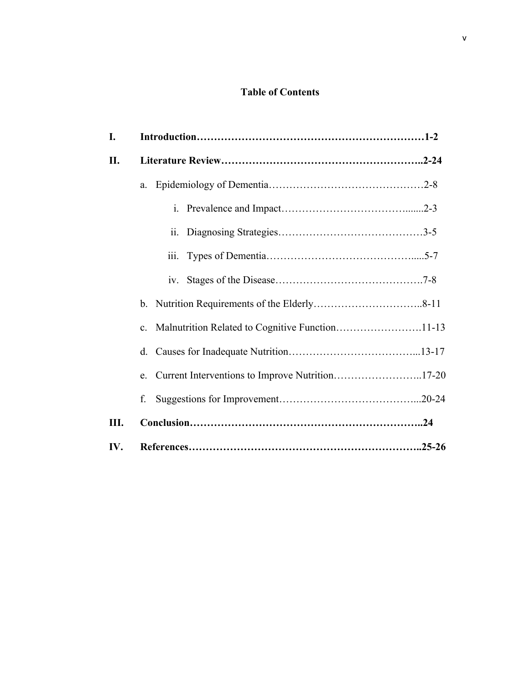# **Table of Contents**

| I.  |                |                                                    |  |
|-----|----------------|----------------------------------------------------|--|
| II. |                |                                                    |  |
|     | a.             |                                                    |  |
|     |                |                                                    |  |
|     |                | 11.                                                |  |
|     |                | 111.                                               |  |
|     |                |                                                    |  |
|     |                |                                                    |  |
|     | $\mathbf{c}$ . |                                                    |  |
|     |                |                                                    |  |
|     |                | e. Current Interventions to Improve Nutrition17-20 |  |
|     | f.             |                                                    |  |
| Ш.  |                |                                                    |  |
| IV. |                |                                                    |  |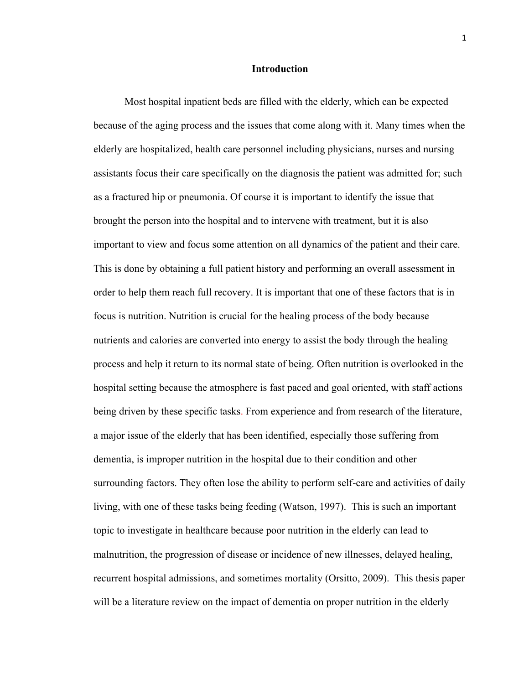# **Introduction**

Most hospital inpatient beds are filled with the elderly, which can be expected because of the aging process and the issues that come along with it. Many times when the elderly are hospitalized, health care personnel including physicians, nurses and nursing assistants focus their care specifically on the diagnosis the patient was admitted for; such as a fractured hip or pneumonia. Of course it is important to identify the issue that brought the person into the hospital and to intervene with treatment, but it is also important to view and focus some attention on all dynamics of the patient and their care. This is done by obtaining a full patient history and performing an overall assessment in order to help them reach full recovery. It is important that one of these factors that is in focus is nutrition. Nutrition is crucial for the healing process of the body because nutrients and calories are converted into energy to assist the body through the healing process and help it return to its normal state of being. Often nutrition is overlooked in the hospital setting because the atmosphere is fast paced and goal oriented, with staff actions being driven by these specific tasks. From experience and from research of the literature, a major issue of the elderly that has been identified, especially those suffering from dementia, is improper nutrition in the hospital due to their condition and other surrounding factors. They often lose the ability to perform self-care and activities of daily living, with one of these tasks being feeding (Watson, 1997). This is such an important topic to investigate in healthcare because poor nutrition in the elderly can lead to malnutrition, the progression of disease or incidence of new illnesses, delayed healing, recurrent hospital admissions, and sometimes mortality (Orsitto, 2009). This thesis paper will be a literature review on the impact of dementia on proper nutrition in the elderly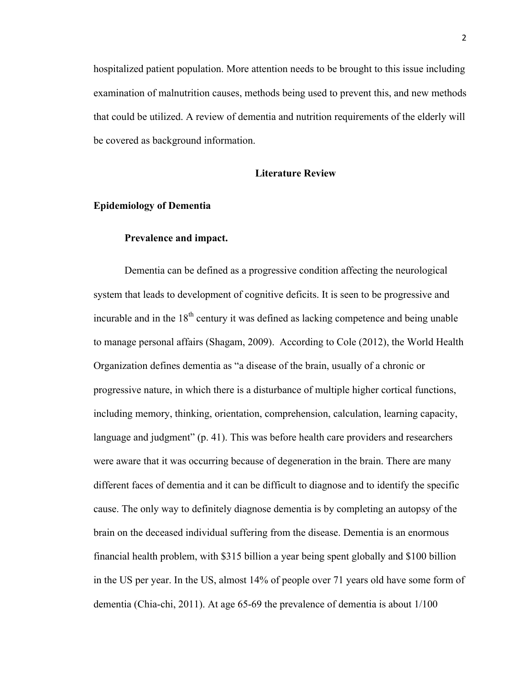hospitalized patient population. More attention needs to be brought to this issue including examination of malnutrition causes, methods being used to prevent this, and new methods that could be utilized. A review of dementia and nutrition requirements of the elderly will be covered as background information.

# **Literature Review**

### **Epidemiology of Dementia**

#### **Prevalence and impact.**

Dementia can be defined as a progressive condition affecting the neurological system that leads to development of cognitive deficits. It is seen to be progressive and incurable and in the  $18<sup>th</sup>$  century it was defined as lacking competence and being unable to manage personal affairs (Shagam, 2009). According to Cole (2012), the World Health Organization defines dementia as "a disease of the brain, usually of a chronic or progressive nature, in which there is a disturbance of multiple higher cortical functions, including memory, thinking, orientation, comprehension, calculation, learning capacity, language and judgment" (p. 41). This was before health care providers and researchers were aware that it was occurring because of degeneration in the brain. There are many different faces of dementia and it can be difficult to diagnose and to identify the specific cause. The only way to definitely diagnose dementia is by completing an autopsy of the brain on the deceased individual suffering from the disease. Dementia is an enormous financial health problem, with \$315 billion a year being spent globally and \$100 billion in the US per year. In the US, almost 14% of people over 71 years old have some form of dementia (Chia-chi, 2011). At age 65-69 the prevalence of dementia is about 1/100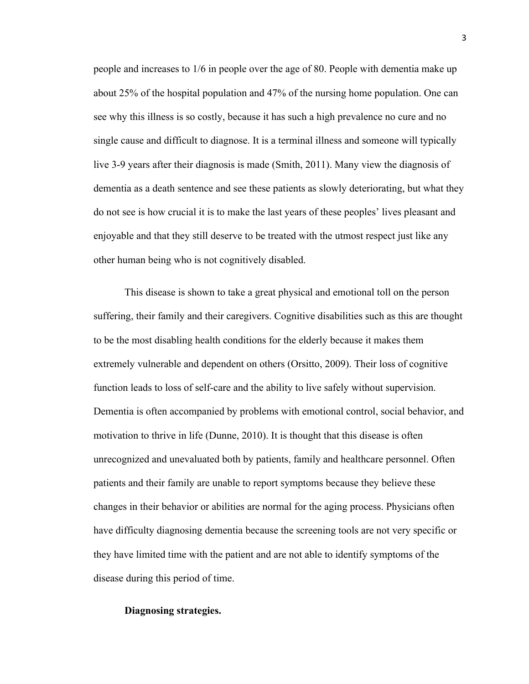people and increases to 1/6 in people over the age of 80. People with dementia make up about 25% of the hospital population and 47% of the nursing home population. One can see why this illness is so costly, because it has such a high prevalence no cure and no single cause and difficult to diagnose. It is a terminal illness and someone will typically live 3-9 years after their diagnosis is made (Smith, 2011). Many view the diagnosis of dementia as a death sentence and see these patients as slowly deteriorating, but what they do not see is how crucial it is to make the last years of these peoples' lives pleasant and enjoyable and that they still deserve to be treated with the utmost respect just like any other human being who is not cognitively disabled.

This disease is shown to take a great physical and emotional toll on the person suffering, their family and their caregivers. Cognitive disabilities such as this are thought to be the most disabling health conditions for the elderly because it makes them extremely vulnerable and dependent on others (Orsitto, 2009). Their loss of cognitive function leads to loss of self-care and the ability to live safely without supervision. Dementia is often accompanied by problems with emotional control, social behavior, and motivation to thrive in life (Dunne, 2010). It is thought that this disease is often unrecognized and unevaluated both by patients, family and healthcare personnel. Often patients and their family are unable to report symptoms because they believe these changes in their behavior or abilities are normal for the aging process. Physicians often have difficulty diagnosing dementia because the screening tools are not very specific or they have limited time with the patient and are not able to identify symptoms of the disease during this period of time.

#### **Diagnosing strategies.**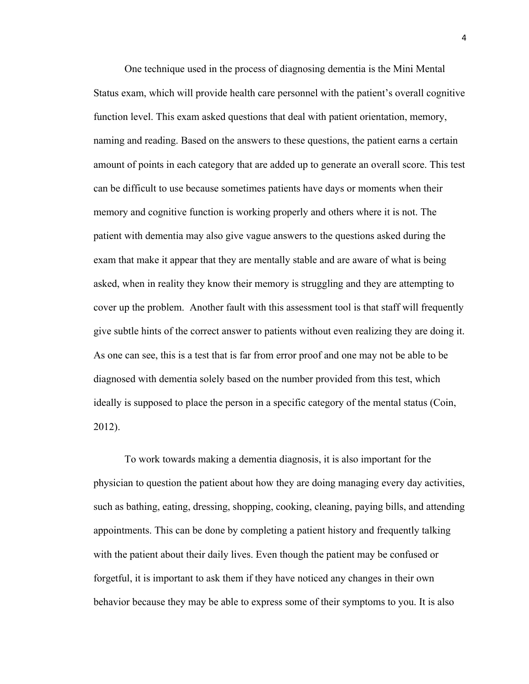One technique used in the process of diagnosing dementia is the Mini Mental Status exam, which will provide health care personnel with the patient's overall cognitive function level. This exam asked questions that deal with patient orientation, memory, naming and reading. Based on the answers to these questions, the patient earns a certain amount of points in each category that are added up to generate an overall score. This test can be difficult to use because sometimes patients have days or moments when their memory and cognitive function is working properly and others where it is not. The patient with dementia may also give vague answers to the questions asked during the exam that make it appear that they are mentally stable and are aware of what is being asked, when in reality they know their memory is struggling and they are attempting to cover up the problem. Another fault with this assessment tool is that staff will frequently give subtle hints of the correct answer to patients without even realizing they are doing it. As one can see, this is a test that is far from error proof and one may not be able to be diagnosed with dementia solely based on the number provided from this test, which ideally is supposed to place the person in a specific category of the mental status (Coin, 2012).

To work towards making a dementia diagnosis, it is also important for the physician to question the patient about how they are doing managing every day activities, such as bathing, eating, dressing, shopping, cooking, cleaning, paying bills, and attending appointments. This can be done by completing a patient history and frequently talking with the patient about their daily lives. Even though the patient may be confused or forgetful, it is important to ask them if they have noticed any changes in their own behavior because they may be able to express some of their symptoms to you. It is also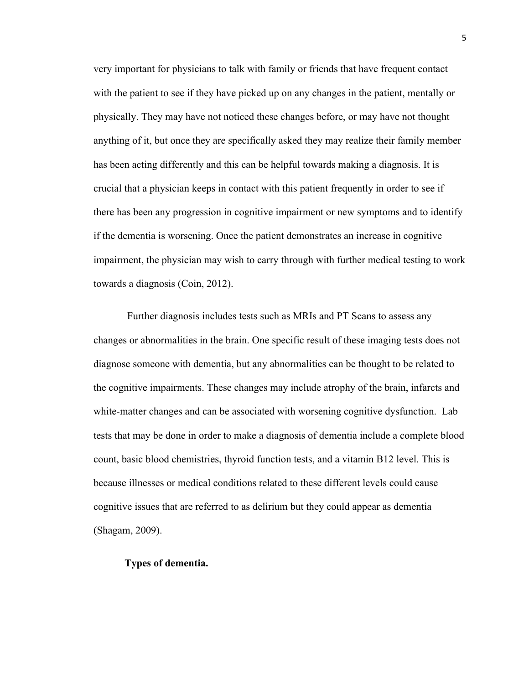very important for physicians to talk with family or friends that have frequent contact with the patient to see if they have picked up on any changes in the patient, mentally or physically. They may have not noticed these changes before, or may have not thought anything of it, but once they are specifically asked they may realize their family member has been acting differently and this can be helpful towards making a diagnosis. It is crucial that a physician keeps in contact with this patient frequently in order to see if there has been any progression in cognitive impairment or new symptoms and to identify if the dementia is worsening. Once the patient demonstrates an increase in cognitive impairment, the physician may wish to carry through with further medical testing to work towards a diagnosis (Coin, 2012).

Further diagnosis includes tests such as MRIs and PT Scans to assess any changes or abnormalities in the brain. One specific result of these imaging tests does not diagnose someone with dementia, but any abnormalities can be thought to be related to the cognitive impairments. These changes may include atrophy of the brain, infarcts and white-matter changes and can be associated with worsening cognitive dysfunction. Lab tests that may be done in order to make a diagnosis of dementia include a complete blood count, basic blood chemistries, thyroid function tests, and a vitamin B12 level. This is because illnesses or medical conditions related to these different levels could cause cognitive issues that are referred to as delirium but they could appear as dementia (Shagam, 2009).

#### **Types of dementia.**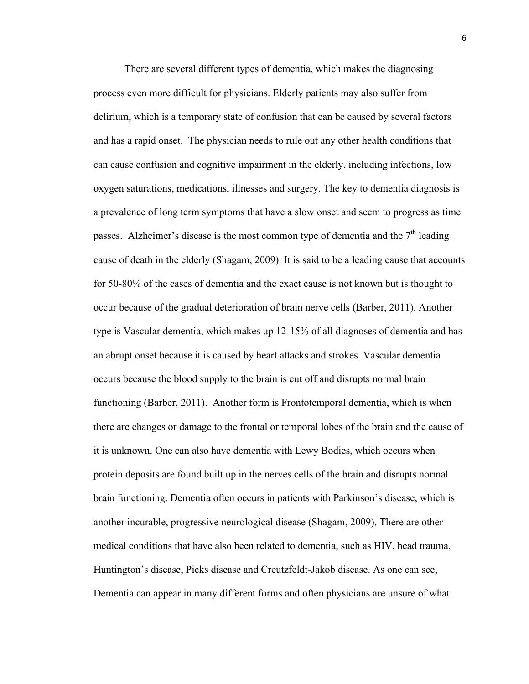There are several different types of dementia, which makes the diagnosing process even more difficult for physicians. Elderly patients may also suffer from delirium, which is a temporary state of confusion that can be caused by several factors and has a rapid onset. The physician needs to rule out any other health conditions that can cause confusion and cognitive impairment in the elderly, including infections, low oxygen saturations, medications, illnesses and surgery. The key to dementia diagnosis is a prevalence of long term symptoms that have a slow onset and seem to progress as time passes. Alzheimer's disease is the most common type of dementia and the  $7<sup>th</sup>$  leading cause of death in the elderly (Shagam, 2009). It is said to be a leading cause that accounts for 50-80% of the cases of dementia and the exact cause is not known but is thought to occur because of the gradual deterioration of brain nerve cells (Barber, 2011). Another type is Vascular dementia, which makes up 12-15% of all diagnoses of dementia and has an abrupt onset because it is caused by heart attacks and strokes. Vascular dementia occurs because the blood supply to the brain is cut off and disrupts normal brain functioning (Barber, 2011). Another form is Frontotemporal dementia, which is when there are changes or damage to the frontal or temporal lobes of the brain and the cause of it is unknown. One can also have dementia with Lewy Bodies, which occurs when protein deposits are found built up in the nerves cells of the brain and disrupts normal brain functioning. Dementia often occurs in patients with Parkinson's disease, which is another incurable, progressive neurological disease (Shagam, 2009). There are other medical conditions that have also been related to dementia, such as HIV, head trauma, Huntington's disease, Picks disease and Creutzfeldt-Jakob disease. As one can see, Dementia can appear in many different forms and often physicians are unsure of what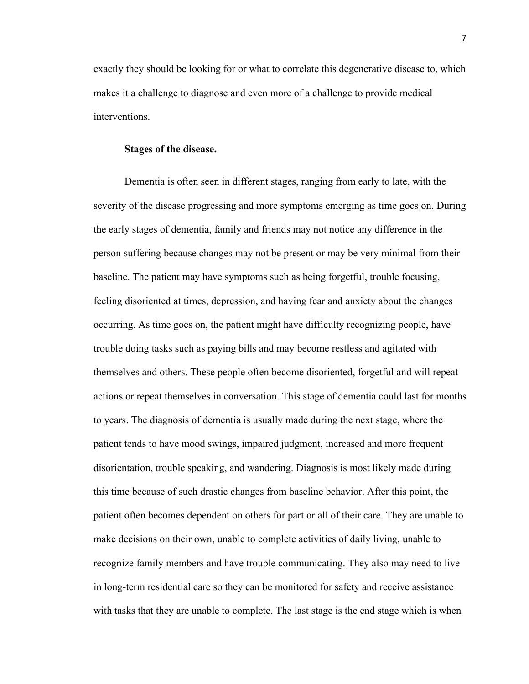exactly they should be looking for or what to correlate this degenerative disease to, which makes it a challenge to diagnose and even more of a challenge to provide medical interventions.

# **Stages of the disease.**

Dementia is often seen in different stages, ranging from early to late, with the severity of the disease progressing and more symptoms emerging as time goes on. During the early stages of dementia, family and friends may not notice any difference in the person suffering because changes may not be present or may be very minimal from their baseline. The patient may have symptoms such as being forgetful, trouble focusing, feeling disoriented at times, depression, and having fear and anxiety about the changes occurring. As time goes on, the patient might have difficulty recognizing people, have trouble doing tasks such as paying bills and may become restless and agitated with themselves and others. These people often become disoriented, forgetful and will repeat actions or repeat themselves in conversation. This stage of dementia could last for months to years. The diagnosis of dementia is usually made during the next stage, where the patient tends to have mood swings, impaired judgment, increased and more frequent disorientation, trouble speaking, and wandering. Diagnosis is most likely made during this time because of such drastic changes from baseline behavior. After this point, the patient often becomes dependent on others for part or all of their care. They are unable to make decisions on their own, unable to complete activities of daily living, unable to recognize family members and have trouble communicating. They also may need to live in long-term residential care so they can be monitored for safety and receive assistance with tasks that they are unable to complete. The last stage is the end stage which is when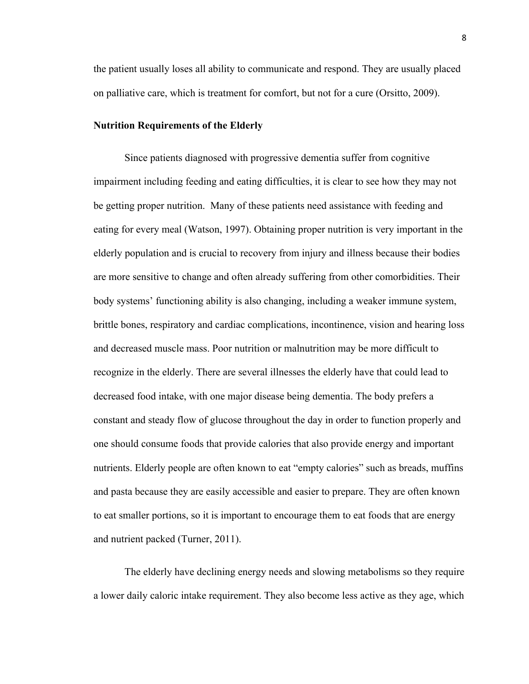the patient usually loses all ability to communicate and respond. They are usually placed on palliative care, which is treatment for comfort, but not for a cure (Orsitto, 2009).

#### **Nutrition Requirements of the Elderly**

Since patients diagnosed with progressive dementia suffer from cognitive impairment including feeding and eating difficulties, it is clear to see how they may not be getting proper nutrition. Many of these patients need assistance with feeding and eating for every meal (Watson, 1997). Obtaining proper nutrition is very important in the elderly population and is crucial to recovery from injury and illness because their bodies are more sensitive to change and often already suffering from other comorbidities. Their body systems' functioning ability is also changing, including a weaker immune system, brittle bones, respiratory and cardiac complications, incontinence, vision and hearing loss and decreased muscle mass. Poor nutrition or malnutrition may be more difficult to recognize in the elderly. There are several illnesses the elderly have that could lead to decreased food intake, with one major disease being dementia. The body prefers a constant and steady flow of glucose throughout the day in order to function properly and one should consume foods that provide calories that also provide energy and important nutrients. Elderly people are often known to eat "empty calories" such as breads, muffins and pasta because they are easily accessible and easier to prepare. They are often known to eat smaller portions, so it is important to encourage them to eat foods that are energy and nutrient packed (Turner, 2011).

The elderly have declining energy needs and slowing metabolisms so they require a lower daily caloric intake requirement. They also become less active as they age, which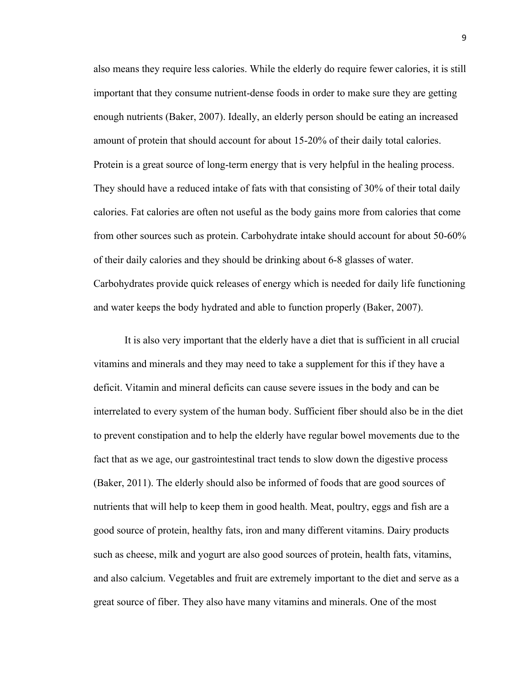also means they require less calories. While the elderly do require fewer calories, it is still important that they consume nutrient-dense foods in order to make sure they are getting enough nutrients (Baker, 2007). Ideally, an elderly person should be eating an increased amount of protein that should account for about 15-20% of their daily total calories. Protein is a great source of long-term energy that is very helpful in the healing process. They should have a reduced intake of fats with that consisting of 30% of their total daily calories. Fat calories are often not useful as the body gains more from calories that come from other sources such as protein. Carbohydrate intake should account for about 50-60% of their daily calories and they should be drinking about 6-8 glasses of water. Carbohydrates provide quick releases of energy which is needed for daily life functioning and water keeps the body hydrated and able to function properly (Baker, 2007).

It is also very important that the elderly have a diet that is sufficient in all crucial vitamins and minerals and they may need to take a supplement for this if they have a deficit. Vitamin and mineral deficits can cause severe issues in the body and can be interrelated to every system of the human body. Sufficient fiber should also be in the diet to prevent constipation and to help the elderly have regular bowel movements due to the fact that as we age, our gastrointestinal tract tends to slow down the digestive process (Baker, 2011). The elderly should also be informed of foods that are good sources of nutrients that will help to keep them in good health. Meat, poultry, eggs and fish are a good source of protein, healthy fats, iron and many different vitamins. Dairy products such as cheese, milk and yogurt are also good sources of protein, health fats, vitamins, and also calcium. Vegetables and fruit are extremely important to the diet and serve as a great source of fiber. They also have many vitamins and minerals. One of the most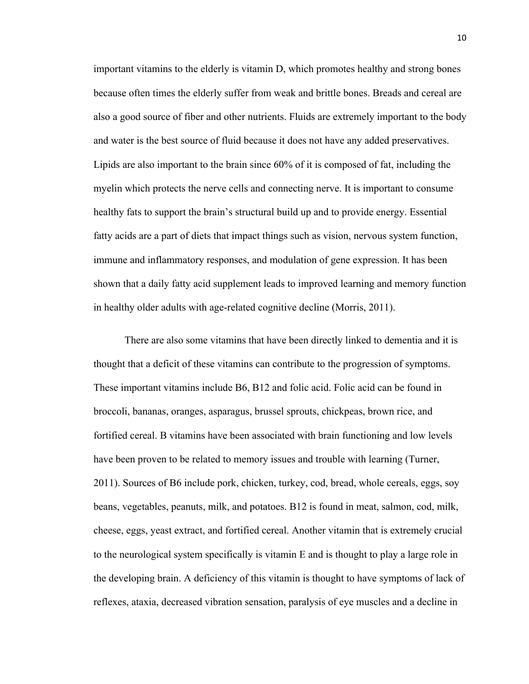important vitamins to the elderly is vitamin D, which promotes healthy and strong bones because often times the elderly suffer from weak and brittle bones. Breads and cereal are also a good source of fiber and other nutrients. Fluids are extremely important to the body and water is the best source of fluid because it does not have any added preservatives. Lipids are also important to the brain since 60% of it is composed of fat, including the myelin which protects the nerve cells and connecting nerve. It is important to consume healthy fats to support the brain's structural build up and to provide energy. Essential fatty acids are a part of diets that impact things such as vision, nervous system function, immune and inflammatory responses, and modulation of gene expression. It has been shown that a daily fatty acid supplement leads to improved learning and memory function in healthy older adults with age-related cognitive decline (Morris, 2011).

There are also some vitamins that have been directly linked to dementia and it is thought that a deficit of these vitamins can contribute to the progression of symptoms. These important vitamins include B6, B12 and folic acid. Folic acid can be found in broccoli, bananas, oranges, asparagus, brussel sprouts, chickpeas, brown rice, and fortified cereal. B vitamins have been associated with brain functioning and low levels have been proven to be related to memory issues and trouble with learning (Turner, 2011). Sources of B6 include pork, chicken, turkey, cod, bread, whole cereals, eggs, soy beans, vegetables, peanuts, milk, and potatoes. B12 is found in meat, salmon, cod, milk, cheese, eggs, yeast extract, and fortified cereal. Another vitamin that is extremely crucial to the neurological system specifically is vitamin E and is thought to play a large role in the developing brain. A deficiency of this vitamin is thought to have symptoms of lack of reflexes, ataxia, decreased vibration sensation, paralysis of eye muscles and a decline in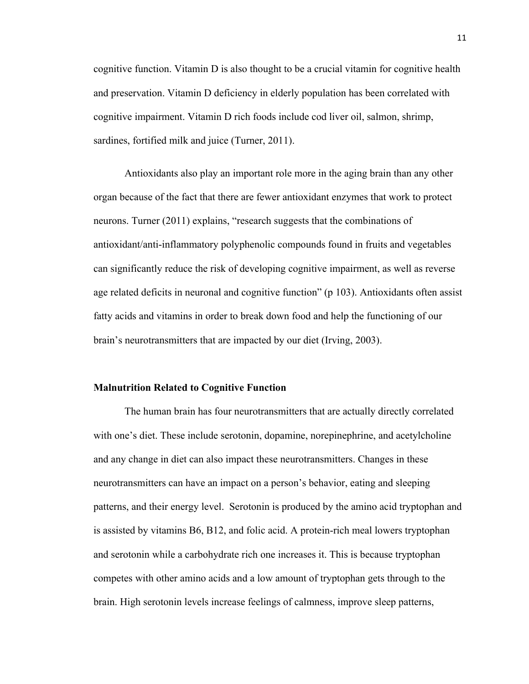cognitive function. Vitamin D is also thought to be a crucial vitamin for cognitive health and preservation. Vitamin D deficiency in elderly population has been correlated with cognitive impairment. Vitamin D rich foods include cod liver oil, salmon, shrimp, sardines, fortified milk and juice (Turner, 2011).

Antioxidants also play an important role more in the aging brain than any other organ because of the fact that there are fewer antioxidant enzymes that work to protect neurons. Turner (2011) explains, "research suggests that the combinations of antioxidant/anti-inflammatory polyphenolic compounds found in fruits and vegetables can significantly reduce the risk of developing cognitive impairment, as well as reverse age related deficits in neuronal and cognitive function" (p 103). Antioxidants often assist fatty acids and vitamins in order to break down food and help the functioning of our brain's neurotransmitters that are impacted by our diet (Irving, 2003).

#### **Malnutrition Related to Cognitive Function**

The human brain has four neurotransmitters that are actually directly correlated with one's diet. These include serotonin, dopamine, norepinephrine, and acetylcholine and any change in diet can also impact these neurotransmitters. Changes in these neurotransmitters can have an impact on a person's behavior, eating and sleeping patterns, and their energy level. Serotonin is produced by the amino acid tryptophan and is assisted by vitamins B6, B12, and folic acid. A protein-rich meal lowers tryptophan and serotonin while a carbohydrate rich one increases it. This is because tryptophan competes with other amino acids and a low amount of tryptophan gets through to the brain. High serotonin levels increase feelings of calmness, improve sleep patterns,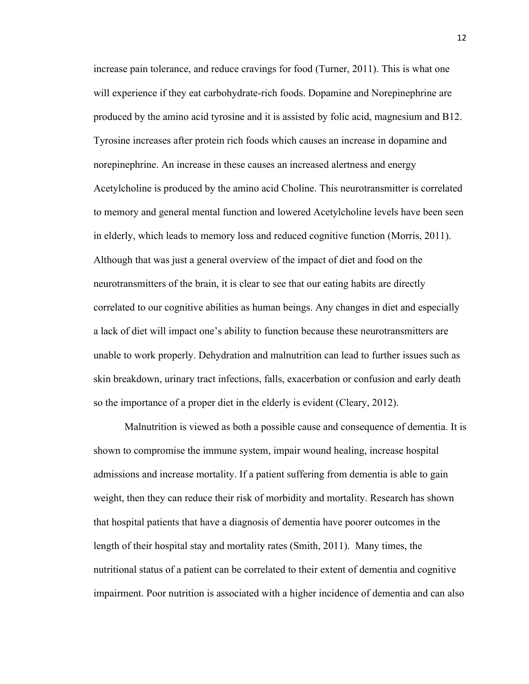increase pain tolerance, and reduce cravings for food (Turner, 2011). This is what one will experience if they eat carbohydrate-rich foods. Dopamine and Norepinephrine are produced by the amino acid tyrosine and it is assisted by folic acid, magnesium and B12. Tyrosine increases after protein rich foods which causes an increase in dopamine and norepinephrine. An increase in these causes an increased alertness and energy Acetylcholine is produced by the amino acid Choline. This neurotransmitter is correlated to memory and general mental function and lowered Acetylcholine levels have been seen in elderly, which leads to memory loss and reduced cognitive function (Morris, 2011). Although that was just a general overview of the impact of diet and food on the neurotransmitters of the brain, it is clear to see that our eating habits are directly correlated to our cognitive abilities as human beings. Any changes in diet and especially a lack of diet will impact one's ability to function because these neurotransmitters are unable to work properly. Dehydration and malnutrition can lead to further issues such as skin breakdown, urinary tract infections, falls, exacerbation or confusion and early death so the importance of a proper diet in the elderly is evident (Cleary, 2012).

Malnutrition is viewed as both a possible cause and consequence of dementia. It is shown to compromise the immune system, impair wound healing, increase hospital admissions and increase mortality. If a patient suffering from dementia is able to gain weight, then they can reduce their risk of morbidity and mortality. Research has shown that hospital patients that have a diagnosis of dementia have poorer outcomes in the length of their hospital stay and mortality rates (Smith, 2011). Many times, the nutritional status of a patient can be correlated to their extent of dementia and cognitive impairment. Poor nutrition is associated with a higher incidence of dementia and can also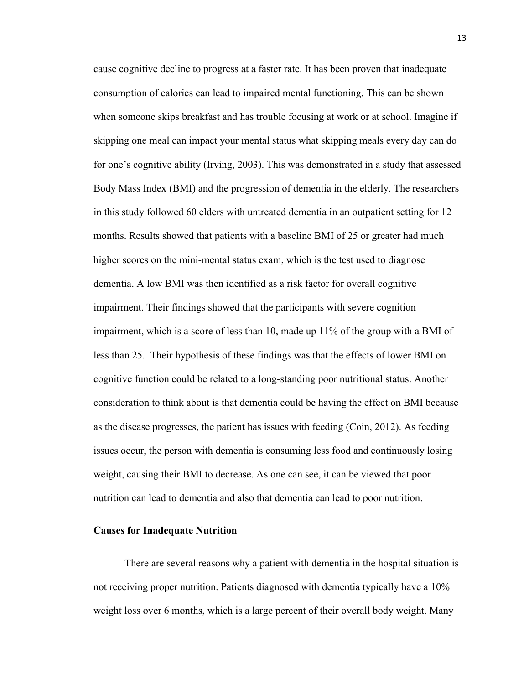cause cognitive decline to progress at a faster rate. It has been proven that inadequate consumption of calories can lead to impaired mental functioning. This can be shown when someone skips breakfast and has trouble focusing at work or at school. Imagine if skipping one meal can impact your mental status what skipping meals every day can do for one's cognitive ability (Irving, 2003). This was demonstrated in a study that assessed Body Mass Index (BMI) and the progression of dementia in the elderly. The researchers in this study followed 60 elders with untreated dementia in an outpatient setting for 12 months. Results showed that patients with a baseline BMI of 25 or greater had much higher scores on the mini-mental status exam, which is the test used to diagnose dementia. A low BMI was then identified as a risk factor for overall cognitive impairment. Their findings showed that the participants with severe cognition impairment, which is a score of less than 10, made up 11% of the group with a BMI of less than 25. Their hypothesis of these findings was that the effects of lower BMI on cognitive function could be related to a long-standing poor nutritional status. Another consideration to think about is that dementia could be having the effect on BMI because as the disease progresses, the patient has issues with feeding (Coin, 2012). As feeding issues occur, the person with dementia is consuming less food and continuously losing weight, causing their BMI to decrease. As one can see, it can be viewed that poor nutrition can lead to dementia and also that dementia can lead to poor nutrition.

# **Causes for Inadequate Nutrition**

There are several reasons why a patient with dementia in the hospital situation is not receiving proper nutrition. Patients diagnosed with dementia typically have a 10% weight loss over 6 months, which is a large percent of their overall body weight. Many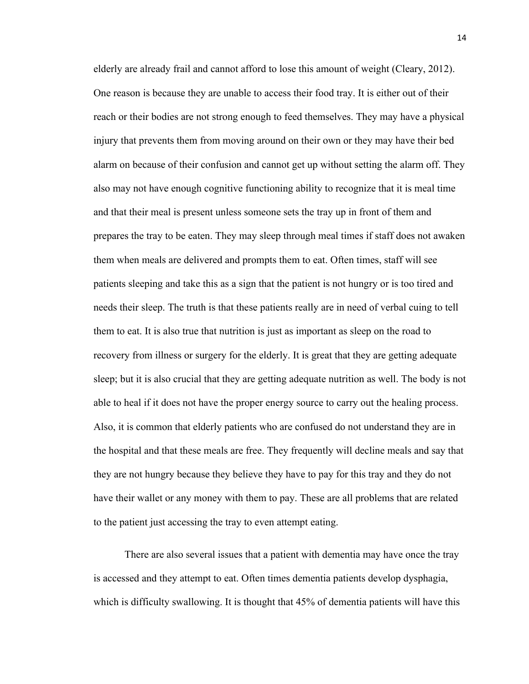elderly are already frail and cannot afford to lose this amount of weight (Cleary, 2012). One reason is because they are unable to access their food tray. It is either out of their reach or their bodies are not strong enough to feed themselves. They may have a physical injury that prevents them from moving around on their own or they may have their bed alarm on because of their confusion and cannot get up without setting the alarm off. They also may not have enough cognitive functioning ability to recognize that it is meal time and that their meal is present unless someone sets the tray up in front of them and prepares the tray to be eaten. They may sleep through meal times if staff does not awaken them when meals are delivered and prompts them to eat. Often times, staff will see patients sleeping and take this as a sign that the patient is not hungry or is too tired and needs their sleep. The truth is that these patients really are in need of verbal cuing to tell them to eat. It is also true that nutrition is just as important as sleep on the road to recovery from illness or surgery for the elderly. It is great that they are getting adequate sleep; but it is also crucial that they are getting adequate nutrition as well. The body is not able to heal if it does not have the proper energy source to carry out the healing process. Also, it is common that elderly patients who are confused do not understand they are in the hospital and that these meals are free. They frequently will decline meals and say that they are not hungry because they believe they have to pay for this tray and they do not have their wallet or any money with them to pay. These are all problems that are related to the patient just accessing the tray to even attempt eating.

There are also several issues that a patient with dementia may have once the tray is accessed and they attempt to eat. Often times dementia patients develop dysphagia, which is difficulty swallowing. It is thought that 45% of dementia patients will have this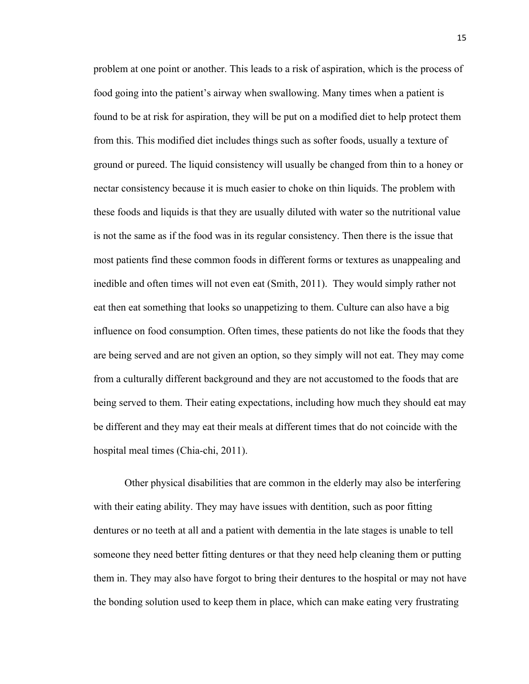problem at one point or another. This leads to a risk of aspiration, which is the process of food going into the patient's airway when swallowing. Many times when a patient is found to be at risk for aspiration, they will be put on a modified diet to help protect them from this. This modified diet includes things such as softer foods, usually a texture of ground or pureed. The liquid consistency will usually be changed from thin to a honey or nectar consistency because it is much easier to choke on thin liquids. The problem with these foods and liquids is that they are usually diluted with water so the nutritional value is not the same as if the food was in its regular consistency. Then there is the issue that most patients find these common foods in different forms or textures as unappealing and inedible and often times will not even eat (Smith, 2011). They would simply rather not eat then eat something that looks so unappetizing to them. Culture can also have a big influence on food consumption. Often times, these patients do not like the foods that they are being served and are not given an option, so they simply will not eat. They may come from a culturally different background and they are not accustomed to the foods that are being served to them. Their eating expectations, including how much they should eat may be different and they may eat their meals at different times that do not coincide with the hospital meal times (Chia-chi, 2011).

Other physical disabilities that are common in the elderly may also be interfering with their eating ability. They may have issues with dentition, such as poor fitting dentures or no teeth at all and a patient with dementia in the late stages is unable to tell someone they need better fitting dentures or that they need help cleaning them or putting them in. They may also have forgot to bring their dentures to the hospital or may not have the bonding solution used to keep them in place, which can make eating very frustrating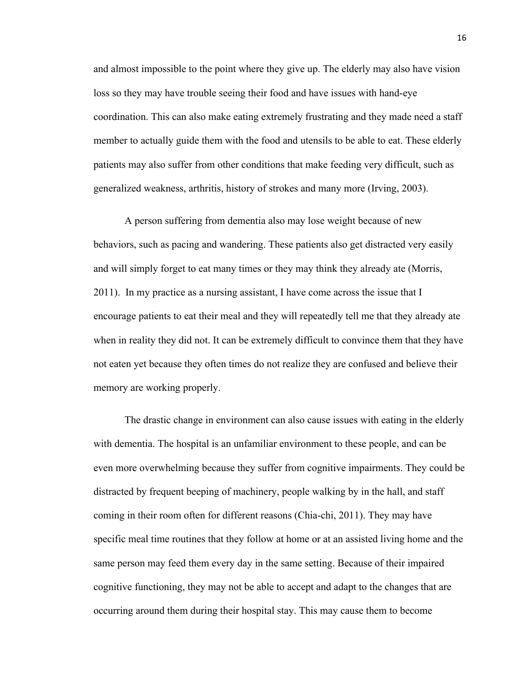and almost impossible to the point where they give up. The elderly may also have vision loss so they may have trouble seeing their food and have issues with hand-eye coordination. This can also make eating extremely frustrating and they made need a staff member to actually guide them with the food and utensils to be able to eat. These elderly patients may also suffer from other conditions that make feeding very difficult, such as generalized weakness, arthritis, history of strokes and many more (Irving, 2003).

A person suffering from dementia also may lose weight because of new behaviors, such as pacing and wandering. These patients also get distracted very easily and will simply forget to eat many times or they may think they already ate (Morris, 2011). In my practice as a nursing assistant, I have come across the issue that I encourage patients to eat their meal and they will repeatedly tell me that they already ate when in reality they did not. It can be extremely difficult to convince them that they have not eaten yet because they often times do not realize they are confused and believe their memory are working properly.

The drastic change in environment can also cause issues with eating in the elderly with dementia. The hospital is an unfamiliar environment to these people, and can be even more overwhelming because they suffer from cognitive impairments. They could be distracted by frequent beeping of machinery, people walking by in the hall, and staff coming in their room often for different reasons (Chia-chi, 2011). They may have specific meal time routines that they follow at home or at an assisted living home and the same person may feed them every day in the same setting. Because of their impaired cognitive functioning, they may not be able to accept and adapt to the changes that are occurring around them during their hospital stay. This may cause them to become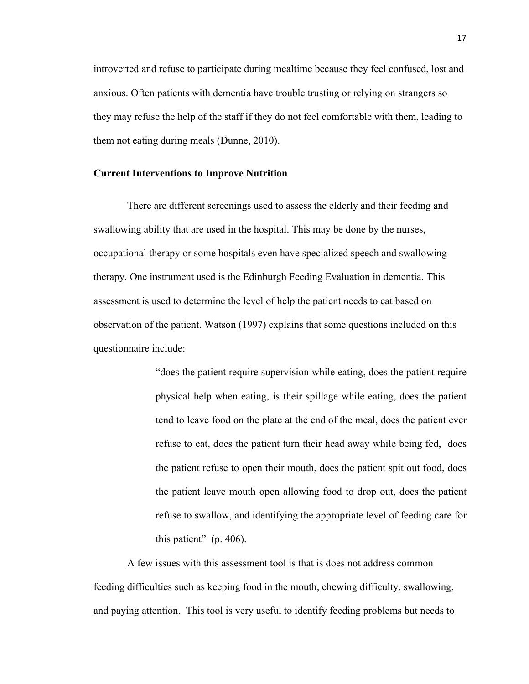introverted and refuse to participate during mealtime because they feel confused, lost and anxious. Often patients with dementia have trouble trusting or relying on strangers so they may refuse the help of the staff if they do not feel comfortable with them, leading to them not eating during meals (Dunne, 2010).

# **Current Interventions to Improve Nutrition**

There are different screenings used to assess the elderly and their feeding and swallowing ability that are used in the hospital. This may be done by the nurses, occupational therapy or some hospitals even have specialized speech and swallowing therapy. One instrument used is the Edinburgh Feeding Evaluation in dementia. This assessment is used to determine the level of help the patient needs to eat based on observation of the patient. Watson (1997) explains that some questions included on this questionnaire include:

> "does the patient require supervision while eating, does the patient require physical help when eating, is their spillage while eating, does the patient tend to leave food on the plate at the end of the meal, does the patient ever refuse to eat, does the patient turn their head away while being fed, does the patient refuse to open their mouth, does the patient spit out food, does the patient leave mouth open allowing food to drop out, does the patient refuse to swallow, and identifying the appropriate level of feeding care for this patient" (p. 406).

A few issues with this assessment tool is that is does not address common feeding difficulties such as keeping food in the mouth, chewing difficulty, swallowing, and paying attention. This tool is very useful to identify feeding problems but needs to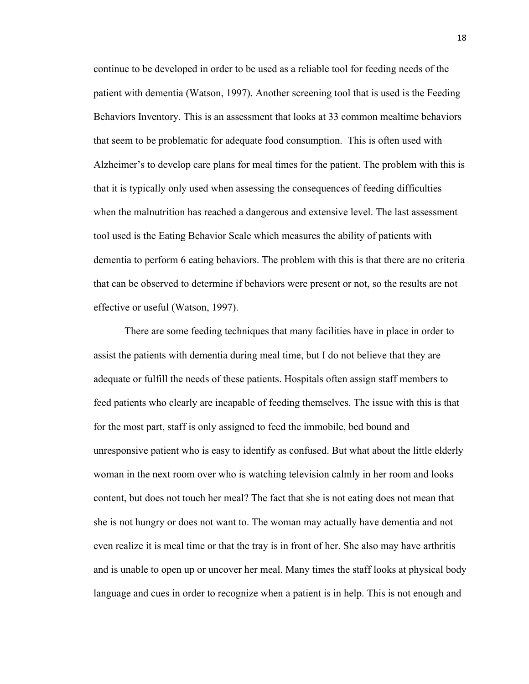continue to be developed in order to be used as a reliable tool for feeding needs of the patient with dementia (Watson, 1997). Another screening tool that is used is the Feeding Behaviors Inventory. This is an assessment that looks at 33 common mealtime behaviors that seem to be problematic for adequate food consumption. This is often used with Alzheimer's to develop care plans for meal times for the patient. The problem with this is that it is typically only used when assessing the consequences of feeding difficulties when the malnutrition has reached a dangerous and extensive level. The last assessment tool used is the Eating Behavior Scale which measures the ability of patients with dementia to perform 6 eating behaviors. The problem with this is that there are no criteria that can be observed to determine if behaviors were present or not, so the results are not effective or useful (Watson, 1997).

There are some feeding techniques that many facilities have in place in order to assist the patients with dementia during meal time, but I do not believe that they are adequate or fulfill the needs of these patients. Hospitals often assign staff members to feed patients who clearly are incapable of feeding themselves. The issue with this is that for the most part, staff is only assigned to feed the immobile, bed bound and unresponsive patient who is easy to identify as confused. But what about the little elderly woman in the next room over who is watching television calmly in her room and looks content, but does not touch her meal? The fact that she is not eating does not mean that she is not hungry or does not want to. The woman may actually have dementia and not even realize it is meal time or that the tray is in front of her. She also may have arthritis and is unable to open up or uncover her meal. Many times the staff looks at physical body language and cues in order to recognize when a patient is in help. This is not enough and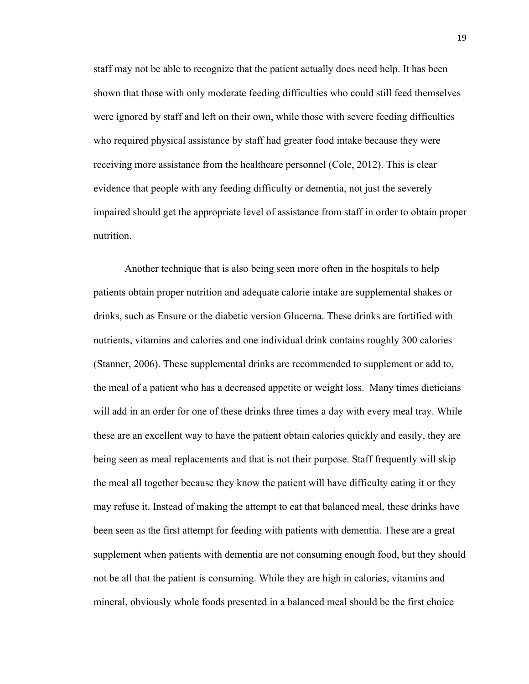staff may not be able to recognize that the patient actually does need help. It has been shown that those with only moderate feeding difficulties who could still feed themselves were ignored by staff and left on their own, while those with severe feeding difficulties who required physical assistance by staff had greater food intake because they were receiving more assistance from the healthcare personnel (Cole, 2012). This is clear evidence that people with any feeding difficulty or dementia, not just the severely impaired should get the appropriate level of assistance from staff in order to obtain proper nutrition.

Another technique that is also being seen more often in the hospitals to help patients obtain proper nutrition and adequate calorie intake are supplemental shakes or drinks, such as Ensure or the diabetic version Glucerna. These drinks are fortified with nutrients, vitamins and calories and one individual drink contains roughly 300 calories (Stanner, 2006). These supplemental drinks are recommended to supplement or add to, the meal of a patient who has a decreased appetite or weight loss. Many times dieticians will add in an order for one of these drinks three times a day with every meal tray. While these are an excellent way to have the patient obtain calories quickly and easily, they are being seen as meal replacements and that is not their purpose. Staff frequently will skip the meal all together because they know the patient will have difficulty eating it or they may refuse it. Instead of making the attempt to eat that balanced meal, these drinks have been seen as the first attempt for feeding with patients with dementia. These are a great supplement when patients with dementia are not consuming enough food, but they should not be all that the patient is consuming. While they are high in calories, vitamins and mineral, obviously whole foods presented in a balanced meal should be the first choice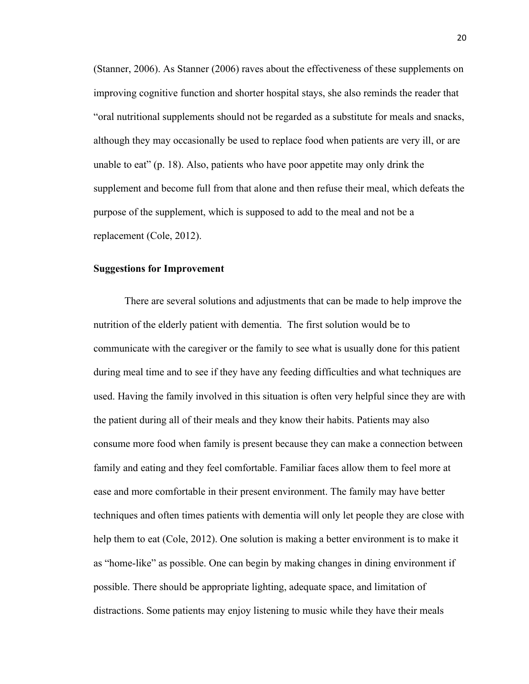(Stanner, 2006). As Stanner (2006) raves about the effectiveness of these supplements on improving cognitive function and shorter hospital stays, she also reminds the reader that "oral nutritional supplements should not be regarded as a substitute for meals and snacks, although they may occasionally be used to replace food when patients are very ill, or are unable to eat" (p. 18). Also, patients who have poor appetite may only drink the supplement and become full from that alone and then refuse their meal, which defeats the purpose of the supplement, which is supposed to add to the meal and not be a replacement (Cole, 2012).

#### **Suggestions for Improvement**

There are several solutions and adjustments that can be made to help improve the nutrition of the elderly patient with dementia. The first solution would be to communicate with the caregiver or the family to see what is usually done for this patient during meal time and to see if they have any feeding difficulties and what techniques are used. Having the family involved in this situation is often very helpful since they are with the patient during all of their meals and they know their habits. Patients may also consume more food when family is present because they can make a connection between family and eating and they feel comfortable. Familiar faces allow them to feel more at ease and more comfortable in their present environment. The family may have better techniques and often times patients with dementia will only let people they are close with help them to eat (Cole, 2012). One solution is making a better environment is to make it as "home-like" as possible. One can begin by making changes in dining environment if possible. There should be appropriate lighting, adequate space, and limitation of distractions. Some patients may enjoy listening to music while they have their meals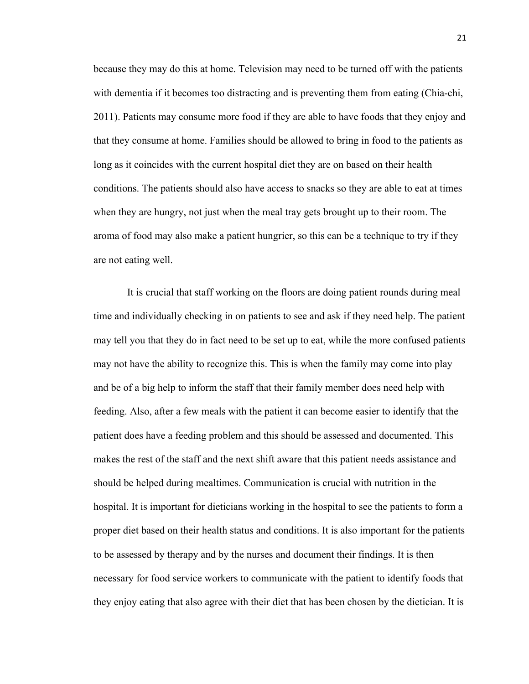because they may do this at home. Television may need to be turned off with the patients with dementia if it becomes too distracting and is preventing them from eating (Chia-chi, 2011). Patients may consume more food if they are able to have foods that they enjoy and that they consume at home. Families should be allowed to bring in food to the patients as long as it coincides with the current hospital diet they are on based on their health conditions. The patients should also have access to snacks so they are able to eat at times when they are hungry, not just when the meal tray gets brought up to their room. The aroma of food may also make a patient hungrier, so this can be a technique to try if they are not eating well.

It is crucial that staff working on the floors are doing patient rounds during meal time and individually checking in on patients to see and ask if they need help. The patient may tell you that they do in fact need to be set up to eat, while the more confused patients may not have the ability to recognize this. This is when the family may come into play and be of a big help to inform the staff that their family member does need help with feeding. Also, after a few meals with the patient it can become easier to identify that the patient does have a feeding problem and this should be assessed and documented. This makes the rest of the staff and the next shift aware that this patient needs assistance and should be helped during mealtimes. Communication is crucial with nutrition in the hospital. It is important for dieticians working in the hospital to see the patients to form a proper diet based on their health status and conditions. It is also important for the patients to be assessed by therapy and by the nurses and document their findings. It is then necessary for food service workers to communicate with the patient to identify foods that they enjoy eating that also agree with their diet that has been chosen by the dietician. It is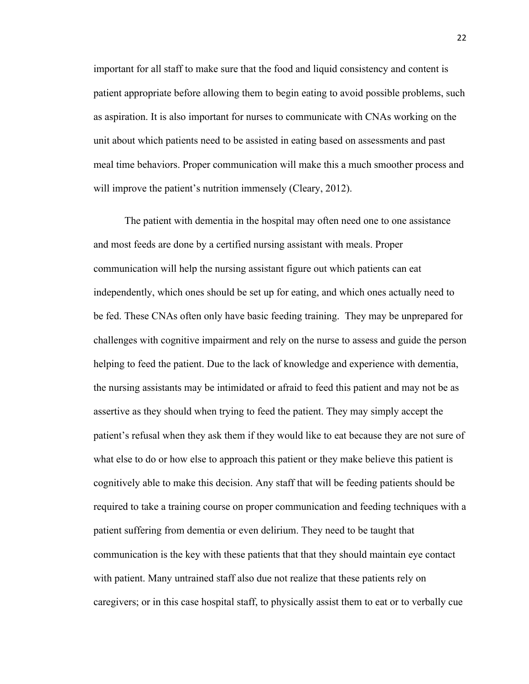important for all staff to make sure that the food and liquid consistency and content is patient appropriate before allowing them to begin eating to avoid possible problems, such as aspiration. It is also important for nurses to communicate with CNAs working on the unit about which patients need to be assisted in eating based on assessments and past meal time behaviors. Proper communication will make this a much smoother process and will improve the patient's nutrition immensely (Cleary, 2012).

The patient with dementia in the hospital may often need one to one assistance and most feeds are done by a certified nursing assistant with meals. Proper communication will help the nursing assistant figure out which patients can eat independently, which ones should be set up for eating, and which ones actually need to be fed. These CNAs often only have basic feeding training. They may be unprepared for challenges with cognitive impairment and rely on the nurse to assess and guide the person helping to feed the patient. Due to the lack of knowledge and experience with dementia, the nursing assistants may be intimidated or afraid to feed this patient and may not be as assertive as they should when trying to feed the patient. They may simply accept the patient's refusal when they ask them if they would like to eat because they are not sure of what else to do or how else to approach this patient or they make believe this patient is cognitively able to make this decision. Any staff that will be feeding patients should be required to take a training course on proper communication and feeding techniques with a patient suffering from dementia or even delirium. They need to be taught that communication is the key with these patients that that they should maintain eye contact with patient. Many untrained staff also due not realize that these patients rely on caregivers; or in this case hospital staff, to physically assist them to eat or to verbally cue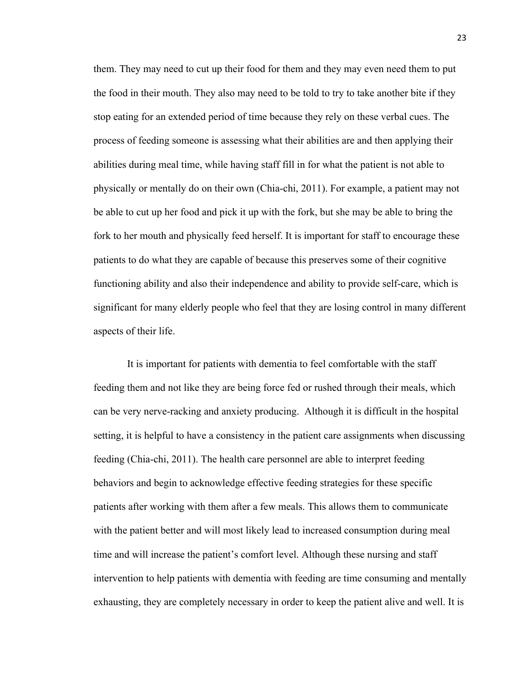them. They may need to cut up their food for them and they may even need them to put the food in their mouth. They also may need to be told to try to take another bite if they stop eating for an extended period of time because they rely on these verbal cues. The process of feeding someone is assessing what their abilities are and then applying their abilities during meal time, while having staff fill in for what the patient is not able to physically or mentally do on their own (Chia-chi, 2011). For example, a patient may not be able to cut up her food and pick it up with the fork, but she may be able to bring the fork to her mouth and physically feed herself. It is important for staff to encourage these patients to do what they are capable of because this preserves some of their cognitive functioning ability and also their independence and ability to provide self-care, which is significant for many elderly people who feel that they are losing control in many different aspects of their life.

It is important for patients with dementia to feel comfortable with the staff feeding them and not like they are being force fed or rushed through their meals, which can be very nerve-racking and anxiety producing. Although it is difficult in the hospital setting, it is helpful to have a consistency in the patient care assignments when discussing feeding (Chia-chi, 2011). The health care personnel are able to interpret feeding behaviors and begin to acknowledge effective feeding strategies for these specific patients after working with them after a few meals. This allows them to communicate with the patient better and will most likely lead to increased consumption during meal time and will increase the patient's comfort level. Although these nursing and staff intervention to help patients with dementia with feeding are time consuming and mentally exhausting, they are completely necessary in order to keep the patient alive and well. It is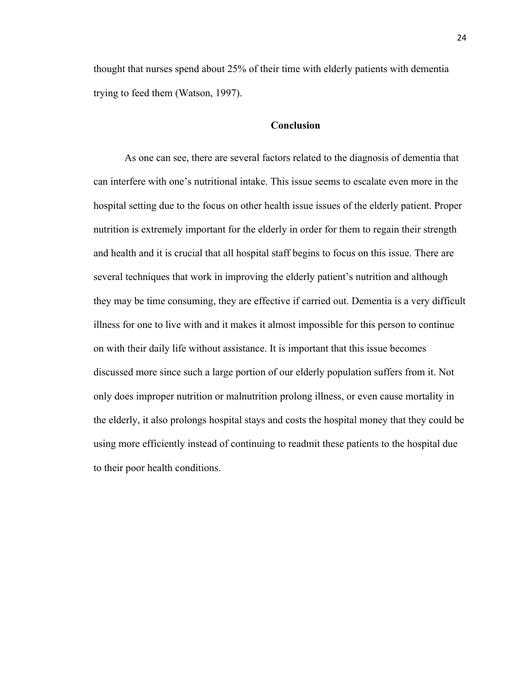thought that nurses spend about 25% of their time with elderly patients with dementia trying to feed them (Watson, 1997).

# **Conclusion**

As one can see, there are several factors related to the diagnosis of dementia that can interfere with one's nutritional intake. This issue seems to escalate even more in the hospital setting due to the focus on other health issue issues of the elderly patient. Proper nutrition is extremely important for the elderly in order for them to regain their strength and health and it is crucial that all hospital staff begins to focus on this issue. There are several techniques that work in improving the elderly patient's nutrition and although they may be time consuming, they are effective if carried out. Dementia is a very difficult illness for one to live with and it makes it almost impossible for this person to continue on with their daily life without assistance. It is important that this issue becomes discussed more since such a large portion of our elderly population suffers from it. Not only does improper nutrition or malnutrition prolong illness, or even cause mortality in the elderly, it also prolongs hospital stays and costs the hospital money that they could be using more efficiently instead of continuing to readmit these patients to the hospital due to their poor health conditions.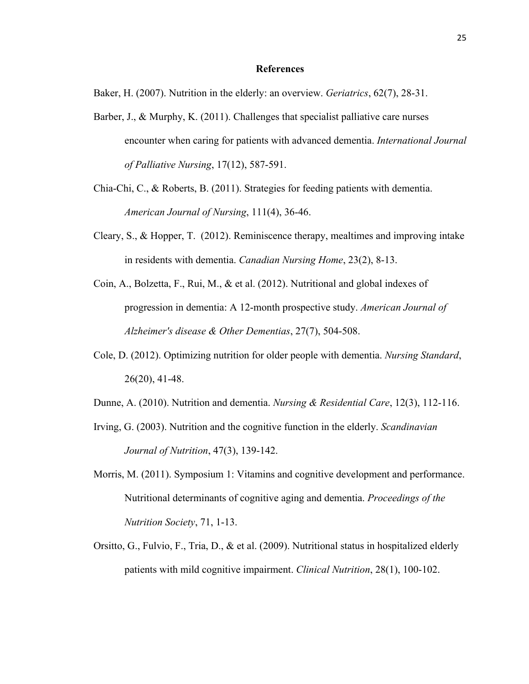# **References**

Baker, H. (2007). Nutrition in the elderly: an overview. *Geriatrics*, 62(7), 28-31.

- Barber, J., & Murphy, K. (2011). Challenges that specialist palliative care nurses encounter when caring for patients with advanced dementia. *International Journal of Palliative Nursing*, 17(12), 587-591.
- Chia-Chi, C., & Roberts, B. (2011). Strategies for feeding patients with dementia. *American Journal of Nursing*, 111(4), 36-46.
- Cleary, S., & Hopper, T. (2012). Reminiscence therapy, mealtimes and improving intake in residents with dementia. *Canadian Nursing Home*, 23(2), 8-13.
- Coin, A., Bolzetta, F., Rui, M., & et al. (2012). Nutritional and global indexes of progression in dementia: A 12-month prospective study. *American Journal of Alzheimer's disease & Other Dementias*, 27(7), 504-508.
- Cole, D. (2012). Optimizing nutrition for older people with dementia. *Nursing Standard*, 26(20), 41-48.
- Dunne, A. (2010). Nutrition and dementia. *Nursing & Residential Care*, 12(3), 112-116.
- Irving, G. (2003). Nutrition and the cognitive function in the elderly. *Scandinavian Journal of Nutrition*, 47(3), 139-142.
- Morris, M. (2011). Symposium 1: Vitamins and cognitive development and performance. Nutritional determinants of cognitive aging and dementia. *Proceedings of the Nutrition Society*, 71, 1-13.
- Orsitto, G., Fulvio, F., Tria, D., & et al. (2009). Nutritional status in hospitalized elderly patients with mild cognitive impairment. *Clinical Nutrition*, 28(1), 100-102.